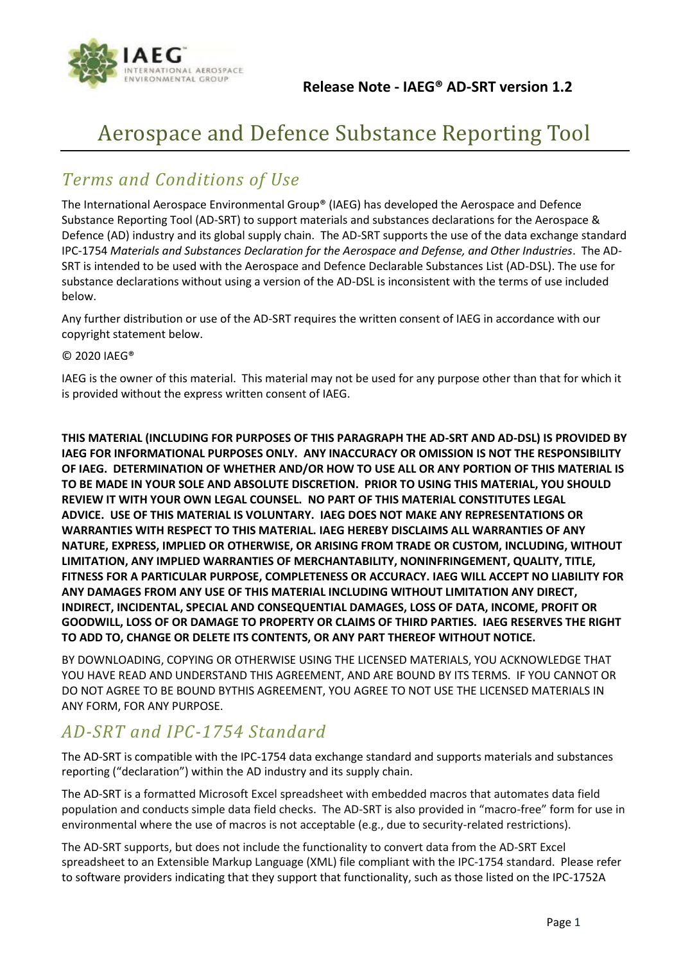

# Aerospace and Defence Substance Reporting Tool

# *Terms and Conditions of Use*

The International Aerospace Environmental Group® (IAEG) has developed the Aerospace and Defence Substance Reporting Tool (AD-SRT) to support materials and substances declarations for the Aerospace & Defence (AD) industry and its global supply chain. The AD-SRT supports the use of the data exchange standard IPC-1754 *Materials and Substances Declaration for the Aerospace and Defense, and Other Industries*. The AD-SRT is intended to be used with the Aerospace and Defence Declarable Substances List (AD-DSL). The use for substance declarations without using a version of the AD-DSL is inconsistent with the terms of use included below.

Any further distribution or use of the AD-SRT requires the written consent of IAEG in accordance with our copyright statement below.

#### © 2020 IAEG®

IAEG is the owner of this material. This material may not be used for any purpose other than that for which it is provided without the express written consent of IAEG.

**THIS MATERIAL (INCLUDING FOR PURPOSES OF THIS PARAGRAPH THE AD-SRT AND AD-DSL) IS PROVIDED BY IAEG FOR INFORMATIONAL PURPOSES ONLY. ANY INACCURACY OR OMISSION IS NOT THE RESPONSIBILITY OF IAEG. DETERMINATION OF WHETHER AND/OR HOW TO USE ALL OR ANY PORTION OF THIS MATERIAL IS TO BE MADE IN YOUR SOLE AND ABSOLUTE DISCRETION. PRIOR TO USING THIS MATERIAL, YOU SHOULD REVIEW IT WITH YOUR OWN LEGAL COUNSEL. NO PART OF THIS MATERIAL CONSTITUTES LEGAL ADVICE. USE OF THIS MATERIAL IS VOLUNTARY. IAEG DOES NOT MAKE ANY REPRESENTATIONS OR WARRANTIES WITH RESPECT TO THIS MATERIAL. IAEG HEREBY DISCLAIMS ALL WARRANTIES OF ANY NATURE, EXPRESS, IMPLIED OR OTHERWISE, OR ARISING FROM TRADE OR CUSTOM, INCLUDING, WITHOUT LIMITATION, ANY IMPLIED WARRANTIES OF MERCHANTABILITY, NONINFRINGEMENT, QUALITY, TITLE, FITNESS FOR A PARTICULAR PURPOSE, COMPLETENESS OR ACCURACY. IAEG WILL ACCEPT NO LIABILITY FOR ANY DAMAGES FROM ANY USE OF THIS MATERIAL INCLUDING WITHOUT LIMITATION ANY DIRECT, INDIRECT, INCIDENTAL, SPECIAL AND CONSEQUENTIAL DAMAGES, LOSS OF DATA, INCOME, PROFIT OR GOODWILL, LOSS OF OR DAMAGE TO PROPERTY OR CLAIMS OF THIRD PARTIES. IAEG RESERVES THE RIGHT TO ADD TO, CHANGE OR DELETE ITS CONTENTS, OR ANY PART THEREOF WITHOUT NOTICE.**

BY DOWNLOADING, COPYING OR OTHERWISE USING THE LICENSED MATERIALS, YOU ACKNOWLEDGE THAT YOU HAVE READ AND UNDERSTAND THIS AGREEMENT, AND ARE BOUND BY ITS TERMS. IF YOU CANNOT OR DO NOT AGREE TO BE BOUND BYTHIS AGREEMENT, YOU AGREE TO NOT USE THE LICENSED MATERIALS IN ANY FORM, FOR ANY PURPOSE.

#### *AD-SRT and IPC-1754 Standard*

The AD-SRT is compatible with the IPC-1754 data exchange standard and supports materials and substances reporting ("declaration") within the AD industry and its supply chain.

The AD-SRT is a formatted Microsoft Excel spreadsheet with embedded macros that automates data field population and conducts simple data field checks. The AD-SRT is also provided in "macro-free" form for use in environmental where the use of macros is not acceptable (e.g., due to security-related restrictions).

The AD-SRT supports, but does not include the functionality to convert data from the AD-SRT Excel spreadsheet to an Extensible Markup Language (XML) file compliant with the IPC-1754 standard. Please refer to software providers indicating that they support that functionality, such as those listed on the IPC-1752A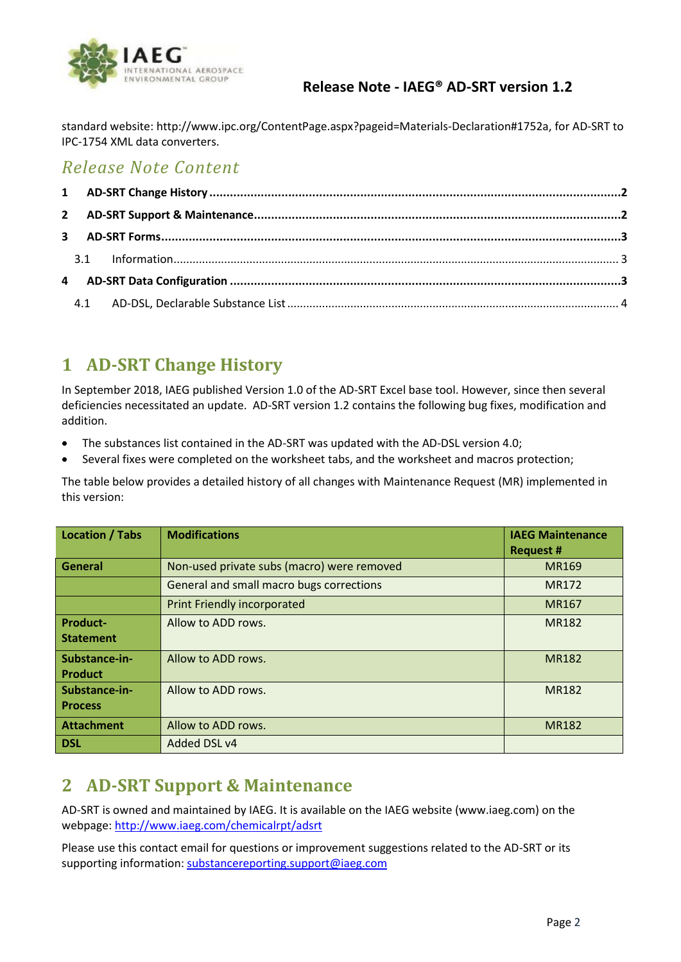

#### **Release Note - IAEG® AD-SRT version 1.2**

standard website: http://www.ipc.org/ContentPage.aspx?pageid=Materials-Declaration#1752a, for AD-SRT to IPC-1754 XML data converters.

### *Release Note Content*

# <span id="page-1-0"></span>**1 AD-SRT Change History**

In September 2018, IAEG published Version 1.0 of the AD-SRT Excel base tool. However, since then several deficiencies necessitated an update. AD-SRT version 1.2 contains the following bug fixes, modification and addition.

- The substances list contained in the AD-SRT was updated with the AD-DSL version 4.0;
- Several fixes were completed on the worksheet tabs, and the worksheet and macros protection;

The table below provides a detailed history of all changes with Maintenance Request (MR) implemented in this version:

| <b>Location / Tabs</b> | <b>Modifications</b>                       | <b>IAEG Maintenance</b><br><b>Request #</b> |
|------------------------|--------------------------------------------|---------------------------------------------|
| General                | Non-used private subs (macro) were removed | <b>MR169</b>                                |
|                        | General and small macro bugs corrections   | MR172                                       |
|                        | <b>Print Friendly incorporated</b>         | MR167                                       |
| <b>Product-</b>        | Allow to ADD rows.                         | <b>MR182</b>                                |
| <b>Statement</b>       |                                            |                                             |
| Substance-in-          | Allow to ADD rows.                         | <b>MR182</b>                                |
| Product                |                                            |                                             |
| Substance-in-          | Allow to ADD rows.                         | <b>MR182</b>                                |
| <b>Process</b>         |                                            |                                             |
| <b>Attachment</b>      | Allow to ADD rows.                         | <b>MR182</b>                                |
| <b>DSL</b>             | Added DSL v4                               |                                             |

# <span id="page-1-1"></span>**2 AD-SRT Support & Maintenance**

AD-SRT is owned and maintained by IAEG. It is available on the IAEG website (www.iaeg.com) on the webpage: http://www.iaeg.com/chemicalrpt/adsrt

Please use this contact email for questions or improvement suggestions related to the AD-SRT or its supporting information: substancereporting.support@iaeg.com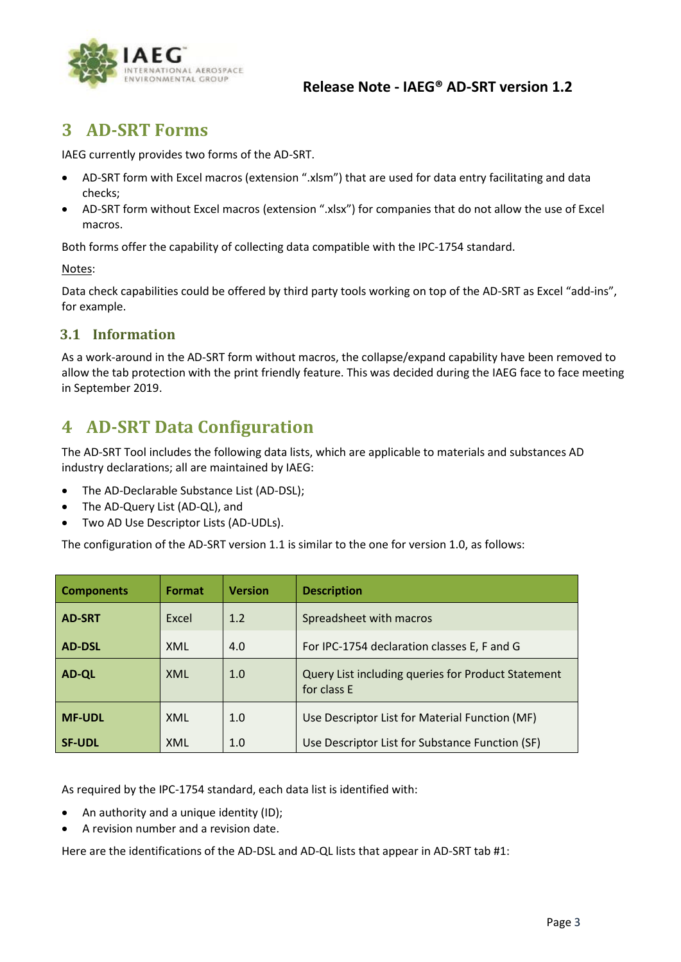

# <span id="page-2-0"></span>**3 AD-SRT Forms**

IAEG currently provides two forms of the AD-SRT.

- AD-SRT form with Excel macros (extension ".xlsm") that are used for data entry facilitating and data checks;
- AD-SRT form without Excel macros (extension ".xlsx") for companies that do not allow the use of Excel macros.

Both forms offer the capability of collecting data compatible with the IPC-1754 standard.

#### Notes:

Data check capabilities could be offered by third party tools working on top of the AD-SRT as Excel "add-ins", for example.

#### <span id="page-2-1"></span>**3.1 Information**

As a work-around in the AD-SRT form without macros, the collapse/expand capability have been removed to allow the tab protection with the print friendly feature. This was decided during the IAEG face to face meeting in September 2019.

### <span id="page-2-2"></span>**4 AD-SRT Data Configuration**

The AD-SRT Tool includes the following data lists, which are applicable to materials and substances AD industry declarations; all are maintained by IAEG:

- The AD-Declarable Substance List (AD-DSL);
- The AD-Query List (AD-QL), and
- Two AD Use Descriptor Lists (AD-UDLs).

The configuration of the AD-SRT version 1.1 is similar to the one for version 1.0, as follows:

| <b>Components</b> | Format | <b>Version</b> | <b>Description</b>                                                |
|-------------------|--------|----------------|-------------------------------------------------------------------|
| <b>AD-SRT</b>     | Excel  | 1.2            | Spreadsheet with macros                                           |
| <b>AD-DSL</b>     | XML    | 4.0            | For IPC-1754 declaration classes E, F and G                       |
| <b>AD-QL</b>      | XML    | 1.0            | Query List including queries for Product Statement<br>for class E |
| <b>MF-UDL</b>     | XML    | 1.0            | Use Descriptor List for Material Function (MF)                    |
| <b>SF-UDL</b>     | XML    | 1.0            | Use Descriptor List for Substance Function (SF)                   |

As required by the IPC-1754 standard, each data list is identified with:

- An authority and a unique identity (ID);
- A revision number and a revision date.

Here are the identifications of the AD-DSL and AD-QL lists that appear in AD-SRT tab #1: